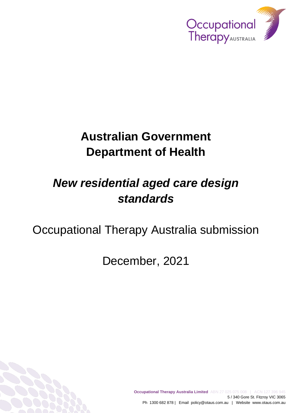

# **Australian Government Department of Health**

# *New residential aged care design standards*

## Occupational Therapy Australia submission

December, 2021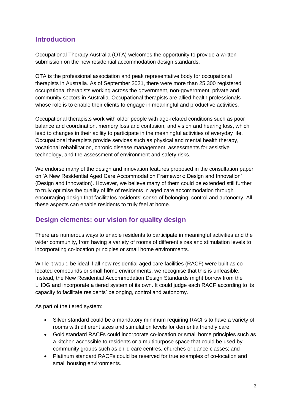## **Introduction**

Occupational Therapy Australia (OTA) welcomes the opportunity to provide a written submission on the new residential accommodation design standards.

OTA is the professional association and peak representative body for occupational therapists in Australia. As of September 2021, there were more than 25,300 registered occupational therapists working across the government, non-government, private and community sectors in Australia. Occupational therapists are allied health professionals whose role is to enable their clients to engage in meaningful and productive activities.

Occupational therapists work with older people with age-related conditions such as poor balance and coordination, memory loss and confusion, and vision and hearing loss, which lead to changes in their ability to participate in the meaningful activities of everyday life. Occupational therapists provide services such as physical and mental health therapy, vocational rehabilitation, chronic disease management, assessments for assistive technology, and the assessment of environment and safety risks.

We endorse many of the design and innovation features proposed in the consultation paper on 'A New Residential Aged Care Accommodation Framework: Design and Innovation' (Design and Innovation). However, we believe many of them could be extended still further to truly optimise the quality of life of residents in aged care accommodation through encouraging design that facilitates residents' sense of belonging, control and autonomy. All these aspects can enable residents to truly feel at home.

## **Design elements: our vision for quality design**

There are numerous ways to enable residents to participate in meaningful activities and the wider community, from having a variety of rooms of different sizes and stimulation levels to incorporating co-location principles or small home environments.

While it would be ideal if all new residential aged care facilities (RACF) were built as colocated compounds or small home environments, we recognise that this is unfeasible. Instead, the New Residential Accommodation Design Standards might borrow from the LHDG and incorporate a tiered system of its own. It could judge each RACF according to its capacity to facilitate residents' belonging, control and autonomy.

As part of the tiered system:

- Silver standard could be a mandatory minimum requiring RACFs to have a variety of rooms with different sizes and stimulation levels for dementia friendly care;
- Gold standard RACFs could incorporate co-location or small home principles such as a kitchen accessible to residents or a multipurpose space that could be used by community groups such as child care centres, churches or dance classes; and
- Platinum standard RACFs could be reserved for true examples of co-location and small housing environments.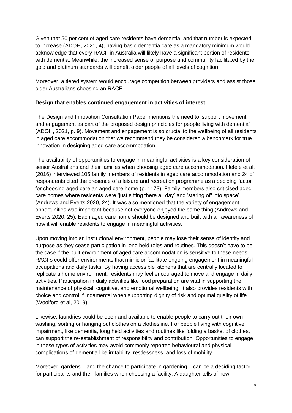Given that 50 per cent of aged care residents have dementia, and that number is expected to increase (ADOH, 2021, 4), having basic dementia care as a mandatory minimum would acknowledge that every RACF in Australia will likely have a significant portion of residents with dementia. Meanwhile, the increased sense of purpose and community facilitated by the gold and platinum standards will benefit older people of all levels of cognition.

Moreover, a tiered system would encourage competition between providers and assist those older Australians choosing an RACF.

#### **Design that enables continued engagement in activities of interest**

The Design and Innovation Consultation Paper mentions the need to 'support movement and engagement as part of the proposed design principles for people living with dementia' (ADOH, 2021, p. 9). Movement and engagement is so crucial to the wellbeing of all residents in aged care accommodation that we recommend they be considered a benchmark for true innovation in designing aged care accommodation.

The availability of opportunities to engage in meaningful activities is a key consideration of senior Australians and their families when choosing aged care accommodation. Hefele et al. (2016) interviewed 105 family members of residents in aged care accommodation and 24 of respondents cited the presence of a leisure and recreation programme as a deciding factor for choosing aged care an aged care home (p. 1173). Family members also criticised aged care homes where residents were 'just sitting there all day' and 'staring off into space' (Andrews and Everts 2020, 24). It was also mentioned that the variety of engagement opportunities was important because not everyone enjoyed the same thing (Andrews and Everts 2020, 25). Each aged care home should be designed and built with an awareness of how it will enable residents to engage in meaningful activities.

Upon moving into an institutional environment, people may lose their sense of identity and purpose as they cease participation in long held roles and routines. This doesn't have to be the case if the built environment of aged care accommodation is sensitive to these needs. RACFs could offer environments that mimic or facilitate ongoing engagement in meaningful occupations and daily tasks. By having accessible kitchens that are centrally located to replicate a home environment, residents may feel encouraged to move and engage in daily activities. Participation in daily activities like food preparation are vital in supporting the maintenance of physical, cognitive, and emotional wellbeing. It also provides residents with choice and control, fundamental when supporting dignity of risk and optimal quality of life (Woolford et al, 2019).

Likewise, laundries could be open and available to enable people to carry out their own washing, sorting or hanging out clothes on a clothesline. For people living with cognitive impairment, like dementia, long held activities and routines like folding a basket of clothes, can support the re-establishment of responsibility and contribution. Opportunities to engage in these types of activities may avoid commonly reported behavioural and physical complications of dementia like irritability, restlessness, and loss of mobility.

Moreover, gardens – and the chance to participate in gardening – can be a deciding factor for participants and their families when choosing a facility. A daughter tells of how: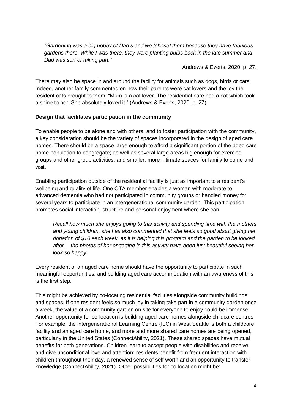*"Gardening was a big hobby of Dad's and we [chose] them because they have fabulous gardens there. While I was there, they were planting bulbs back in the late summer and Dad was sort of taking part."*

Andrews & Everts, 2020, p. 27.

There may also be space in and around the facility for animals such as dogs, birds or cats. Indeed, another family commented on how their parents were cat lovers and the joy the resident cats brought to them: "Mum is a cat lover. The residential care had a cat which took a shine to her. She absolutely loved it." (Andrews & Everts, 2020, p. 27).

#### **Design that facilitates participation in the community**

To enable people to be alone and with others, and to foster participation with the community, a key consideration should be the variety of spaces incorporated in the design of aged care homes. There should be a space large enough to afford a significant portion of the aged care home population to congregate; as well as several large areas big enough for exercise groups and other group activities; and smaller, more intimate spaces for family to come and visit.

Enabling participation outside of the residential facility is just as important to a resident's wellbeing and quality of life. One OTA member enables a woman with moderate to advanced dementia who had not participated in community groups or handled money for several years to participate in an intergenerational community garden. This participation promotes social interaction, structure and personal enjoyment where she can:

*Recall how much she enjoys going to this activity and spending time with the mothers and young children, she has also commented that she feels so good about giving her donation of \$10 each week, as it is helping this program and the garden to be looked after… the photos of her engaging in this activity have been just beautiful seeing her look so happy.*

Every resident of an aged care home should have the opportunity to participate in such meaningful opportunities, and building aged care accommodation with an awareness of this is the first step.

This might be achieved by co-locating residential facilities alongside community buildings and spaces. If one resident feels so much joy in taking take part in a community garden once a week, the value of a community garden on site for everyone to enjoy could be immense. Another opportunity for co-location is building aged care homes alongside childcare centres. For example, the intergenerational Learning Centre (ILC) in West Seattle is both a childcare facility and an aged care home, and more and more shared care homes are being opened, particularly in the United States (ConnectAbility, 2021). These shared spaces have mutual benefits for both generations. Children learn to accept people with disabilities and receive and give unconditional love and attention; residents benefit from frequent interaction with children throughout their day, a renewed sense of self worth and an opportunity to transfer knowledge (ConnectAbility, 2021). Other possibilities for co-location might be: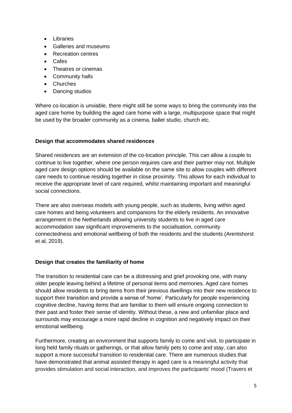- Libraries
- Galleries and museums
- Recreation centres
- Cafes
- Theatres or cinemas
- Community halls
- Churches
- Dancing studios

Where co-location is unviable, there might still be some ways to bring the community into the aged care home by building the aged care home with a large, multipurpose space that might be used by the broader community as a cinema, ballet studio, church etc.

#### **Design that accommodates shared residences**

Shared residences are an extension of the co-location principle. This can allow a couple to continue to live together, where one person requires care and their partner may not. Multiple aged care design options should be available on the same site to allow couples with different care needs to continue residing together in close proximity. This allows for each individual to receive the appropriate level of care required, whilst maintaining important and meaningful social connections.

There are also overseas models with young people, such as students, living within aged care homes and being volunteers and companions for the elderly residents. An innovative arrangement in the Netherlands allowing university students to live in aged care accommodation saw significant improvements to the socialisation, community connectedness and emotional wellbeing of both the residents and the students (Arentshorst et al, 2019).

#### **Design that creates the familiarity of home**

The transition to residential care can be a distressing and grief provoking one, with many older people leaving behind a lifetime of personal items and memories. Aged care homes should allow residents to bring items from their previous dwellings into their new residence to support their transition and provide a sense of 'home'. Particularly for people experiencing cognitive decline, having items that are familiar to them will ensure ongoing connection to their past and foster their sense of identity. Without these, a new and unfamiliar place and surrounds may encourage a more rapid decline in cognition and negatively impact on their emotional wellbeing.

Furthermore, creating an environment that supports family to come and visit, to participate in long held family rituals or gatherings, or that allow family pets to come and stay, can also support a more successful transition to residential care. There are numerous studies that have demonstrated that animal assisted therapy in aged care is a meaningful activity that provides stimulation and social interaction, and improves the participants' mood (Travers et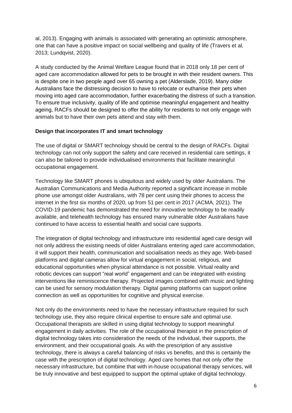al, 2013). Engaging with animals is associated with generating an optimistic atmosphere, one that can have a positive impact on social wellbeing and quality of life (Travers et al, 2013; Lundqvist, 2020).

A study conducted by the Animal Welfare League found that in 2018 only 18 per cent of aged care accommodation allowed for pets to be brought in with their resident owners. This is despite one in two people aged over 65 owning a pet (Alderslade, 2019). Many older Australians face the distressing decision to have to relocate or euthanise their pets when moving into aged care accommodation, further exacerbating the distress of such a transition. To ensure true inclusivity, quality of life and optimise meaningful engagement and healthy ageing, RACFs should be designed to offer the ability for residents to not only engage with animals but to have their own pets attend and stay with them.

#### **Design that incorporates IT and smart technology**

The use of digital or SMART technology should be central to the design of RACFs. Digital technology can not only support the safety and care received in residential care settings, it can also be tailored to provide individualised environments that facilitate meaningful occupational engagement.

Technology like SMART phones is ubiquitous and widely used by older Australians. The Australian Communications and Media Authority reported a significant increase in mobile phone use amongst older Australians, with 78 per cent using their phones to access the internet in the first six months of 2020, up from 51 per cent in 2017 (ACMA, 2021). The COVID-19 pandemic has demonstrated the need for innovative technology to be readily available, and telehealth technology has ensured many vulnerable older Australians have continued to have access to essential health and social care supports.

The integration of digital technology and infrastructure into residential aged care design will not only address the existing needs of older Australians entering aged care accommodation, it will support their health, communication and socialisation needs as they age. Web-based platforms and digital cameras allow for virtual engagement in social, religious, and educational opportunities when physical attendance is not possible. Virtual reality and robotic devices can support "real world" engagement and can be integrated with existing interventions like reminiscence therapy. Projected images combined with music and lighting can be used for sensory modulation therapy. Digital gaming platforms can support online connection as well as opportunities for cognitive and physical exercise.

Not only do the environments need to have the necessary infrastructure required for such technology use, they also require clinical expertise to ensure safe and optimal use. Occupational therapists are skilled in using digital technology to support meaningful engagement in daily activities. The role of the occupational therapist in the prescription of digital technology takes into consideration the needs of the individual, their supports, the environment, and their occupational goals. As with the prescription of any assistive technology, there is always a careful balancing of risks vs benefits, and this is certainly the case with the prescription of digital technology. Aged care homes that not only offer the necessary infrastructure, but combine that with in-house occupational therapy services, will be truly innovative and best equipped to support the optimal uptake of digital technology.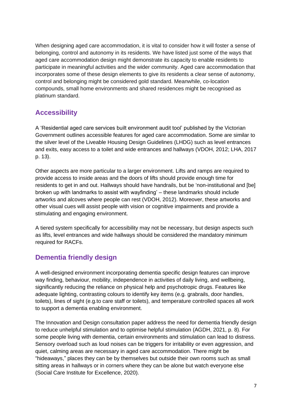When designing aged care accommodation, it is vital to consider how it will foster a sense of belonging, control and autonomy in its residents. We have listed just some of the ways that aged care accommodation design might demonstrate its capacity to enable residents to participate in meaningful activities and the wider community. Aged care accommodation that incorporates some of these design elements to give its residents a clear sense of autonomy, control and belonging might be considered gold standard. Meanwhile, co-location compounds, small home environments and shared residences might be recognised as platinum standard.

## **Accessibility**

A 'Residential aged care services built environment audit tool' published by the Victorian Government outlines accessible features for aged care accommodation. Some are similar to the silver level of the Liveable Housing Design Guidelines (LHDG) such as level entrances and exits, easy access to a toilet and wide entrances and hallways (VDOH, 2012; LHA, 2017 p. 13).

Other aspects are more particular to a larger environment. Lifts and ramps are required to provide access to inside areas and the doors of lifts should provide enough time for residents to get in and out. Hallways should have handrails, but be 'non-institutional and [be] broken up with landmarks to assist with wayfinding' – these landmarks should include artworks and alcoves where people can rest (VDOH, 2012). Moreover, these artworks and other visual cues will assist people with vision or cognitive impairments and provide a stimulating and engaging environment.

A tiered system specifically for accessibility may not be necessary, but design aspects such as lifts, level entrances and wide hallways should be considered the mandatory minimum required for RACFs.

## **Dementia friendly design**

A well-designed environment incorporating dementia specific design features can improve way finding, behaviour, mobility, independence in activities of daily living, and wellbeing, significantly reducing the reliance on physical help and psychotropic drugs. Features like adequate lighting, contrasting colours to identify key items (e.g. grabrails, door handles, toilets), lines of sight (e.g.to care staff or toilets), and temperature controlled spaces all work to support a dementia enabling environment.

The Innovation and Design consultation paper address the need for dementia friendly design to reduce unhelpful stimulation and to optimise helpful stimulation (AGDH, 2021, p. 8). For some people living with dementia, certain environments and stimulation can lead to distress. Sensory overload such as loud noises can be triggers for irritability or even aggression, and quiet, calming areas are necessary in aged care accommodation. There might be "hideaways," places they can be by themselves but outside their own rooms such as small sitting areas in hallways or in corners where they can be alone but watch everyone else (Social Care Institute for Excellence, 2020).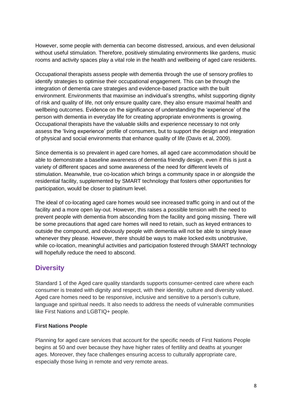However, some people with dementia can become distressed, anxious, and even delusional without useful stimulation. Therefore, positively stimulating environments like gardens, music rooms and activity spaces play a vital role in the health and wellbeing of aged care residents.

Occupational therapists assess people with dementia through the use of sensory profiles to identify strategies to optimise their occupational engagement. This can be through the integration of dementia care strategies and evidence-based practice with the built environment. Environments that maximise an individual's strengths, whilst supporting dignity of risk and quality of life, not only ensure quality care, they also ensure maximal health and wellbeing outcomes. Evidence on the significance of understanding the 'experience' of the person with dementia in everyday life for creating appropriate environments is growing. Occupational therapists have the valuable skills and experience necessary to not only assess the 'living experience' profile of consumers, but to support the design and integration of physical and social environments that enhance quality of life (Davis et al, 2009).

Since dementia is so prevalent in aged care homes, all aged care accommodation should be able to demonstrate a baseline awareness of dementia friendly design, even if this is just a variety of different spaces and some awareness of the need for different levels of stimulation. Meanwhile, true co-location which brings a community space in or alongside the residential facility, supplemented by SMART technology that fosters other opportunities for participation, would be closer to platinum level.

The ideal of co-locating aged care homes would see increased traffic going in and out of the facility and a more open lay-out. However, this raises a possible tension with the need to prevent people with dementia from absconding from the facility and going missing. There will be some precautions that aged care homes will need to retain, such as keyed entrances to outside the compound, and obviously people with dementia will not be able to simply leave whenever they please. However, there should be ways to make locked exits unobtrusive, while co-location, meaningful activities and participation fostered through SMART technology will hopefully reduce the need to abscond.

## **Diversity**

Standard 1 of the Aged care quality standards supports consumer-centred care where each consumer is treated with dignity and respect, with their identity, culture and diversity valued. Aged care homes need to be responsive, inclusive and sensitive to a person's culture, language and spiritual needs. It also needs to address the needs of vulnerable communities like First Nations and LGBTIQ+ people.

#### **First Nations People**

Planning for aged care services that account for the specific needs of First Nations People begins at 50 and over because they have higher rates of fertility and deaths at younger ages. Moreover, they face challenges ensuring access to culturally appropriate care, especially those living in remote and very remote areas.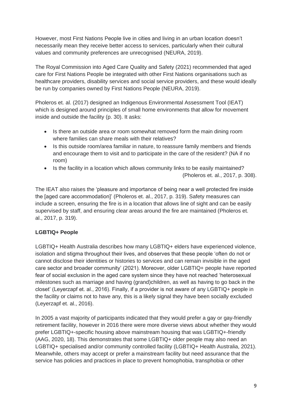However, most First Nations People live in cities and living in an urban location doesn't necessarily mean they receive better access to services, particularly when their cultural values and community preferences are unrecognised (NEURA, 2019).

The Royal Commission into Aged Care Quality and Safety (2021) recommended that aged care for First Nations People be integrated with other First Nations organisations such as healthcare providers, disability services and social service providers, and these would ideally be run by companies owned by First Nations People (NEURA, 2019).

Pholeros et. al. (2017) designed an Indigenous Environmental Assessment Tool (IEAT) which is designed around principles of small home environments that allow for movement inside and outside the facility (p. 30). It asks:

- Is there an outside area or room somewhat removed form the main dining room where families can share meals with their relatives?
- Is this outside room/area familiar in nature, to reassure family members and friends and encourage them to visit and to participate in the care of the resident? (NA if no room)
- Is the facility in a location which allows community links to be easily maintained? (Pholeros et. al., 2017, p. 308).

The IEAT also raises the 'pleasure and importance of being near a well protected fire inside the [aged care accommodation]' (Pholeros et. al., 2017, p. 319). Safety measures can include a screen, ensuring the fire is in a location that allows line of sight and can be easily supervised by staff, and ensuring clear areas around the fire are maintained (Pholeros et. al., 2017, p. 319).

#### **LGBTIQ+ People**

LGBTIQ+ Health Australia describes how many LGBTIQ+ elders have experienced violence, isolation and stigma throughout their lives, and observes that these people 'often do not or cannot disclose their identities or histories to services and can remain invisible in the aged care sector and broader community' (2021). Moreover, older LGBTIQ+ people have reported fear of social exclusion in the aged care system since they have not reached 'heterosexual milestones such as marriage and having (grand)children, as well as having to go back in the closet' (Leyerzapf et. al., 2016). Finally, if a provider is not aware of any LGBTIQ+ people in the facility or claims not to have any, this is a likely signal they have been socially excluded (Leyerzapf et. al., 2016).

In 2005 a vast majority of participants indicated that they would prefer a gay or gay-friendly retirement facility, however in 2016 there were more diverse views about whether they would prefer LGBTIQ+-specific housing above mainstream housing that was LGBTIQ+-friendly (AAG, 2020, 18). This demonstrates that some LGBTIQ+ older people may also need an LGBTIQ+ specialised and/or community controlled facility (LGBTIQ+ Health Australia, 2021). Meanwhile, others may accept or prefer a mainstream facility but need assurance that the service has policies and practices in place to prevent homophobia, transphobia or other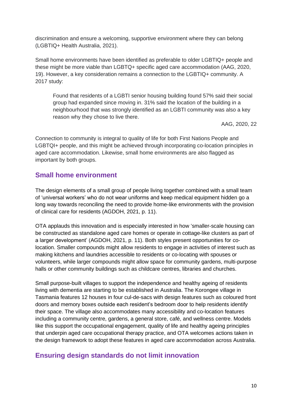discrimination and ensure a welcoming, supportive environment where they can belong (LGBTIQ+ Health Australia, 2021).

Small home environments have been identified as preferable to older LGBTIQ+ people and these might be more viable than LGBTQ+ specific aged care accommodation (AAG, 2020, 19). However, a key consideration remains a connection to the LGBTIQ+ community. A 2017 study:

Found that residents of a LGBTI senior housing building found 57% said their social group had expanded since moving in. 31% said the location of the building in a neighbourhood that was strongly identified as an LGBTI community was also a key reason why they chose to live there.

AAG, 2020, 22

Connection to community is integral to quality of life for both First Nations People and LGBTQI+ people, and this might be achieved through incorporating co-location principles in aged care accommodation. Likewise, small home environments are also flagged as important by both groups.

### **Small home environment**

The design elements of a small group of people living together combined with a small team of 'universal workers' who do not wear uniforms and keep medical equipment hidden go a long way towards reconciling the need to provide home-like environments with the provision of clinical care for residents (AGDOH, 2021, p. 11).

OTA applauds this innovation and is especially interested in how 'smaller-scale housing can be constructed as standalone aged care homes or operate in cottage-like clusters as part of a larger development' (AGDOH, 2021, p. 11). Both styles present opportunities for colocation. Smaller compounds might allow residents to engage in activities of interest such as making kitchens and laundries accessible to residents or co-locating with spouses or volunteers, while larger compounds might allow space for community gardens, multi-purpose halls or other community buildings such as childcare centres, libraries and churches.

Small purpose-built villages to support the independence and healthy ageing of residents living with dementia are starting to be established in Australia. The Korongee village in Tasmania features 12 houses in four cul-de-sacs with design features such as coloured front doors and memory boxes outside each resident's bedroom door to help residents identify their space. The village also accommodates many accessibility and co-location features including a community centre, gardens, a general store, café, and wellness centre. Models like this support the occupational engagement, quality of life and healthy ageing principles that underpin aged care occupational therapy practice, and OTA welcomes actions taken in the design framework to adopt these features in aged care accommodation across Australia.

## **Ensuring design standards do not limit innovation**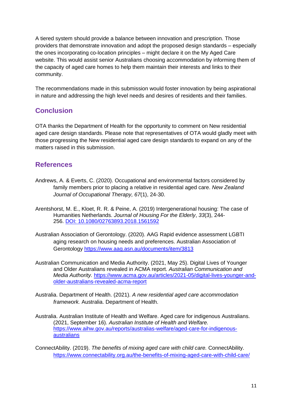A tiered system should provide a balance between innovation and prescription. Those providers that demonstrate innovation and adopt the proposed design standards – especially the ones incorporating co-location principles – might declare it on the My Aged Care website. This would assist senior Australians choosing accommodation by informing them of the capacity of aged care homes to help them maintain their interests and links to their community.

The recommendations made in this submission would foster innovation by being aspirational in nature and addressing the high level needs and desires of residents and their families.

## **Conclusion**

OTA thanks the Department of Health for the opportunity to comment on New residential aged care design standards. Please note that representatives of OTA would gladly meet with those progressing the New residential aged care design standards to expand on any of the matters raised in this submission.

#### **References**

- Andrews, A. & Everts, C. (2020). Occupational and environmental factors considered by family members prior to placing a relative in residential aged care. *New Zealand Journal of Occupational Therapy, 67*(1), 24-30.
- Arentshorst, M. E., Kloet, R. R. & Peine, A. (2019) Intergenerational housing: The case of Humanities Netherlands. *Journal of Housing For the Elderly*, *33*(3), 244- 256. DOI: [10.1080/02763893.2018.1561592](https://doi.org/10.1080/02763893.2018.1561592)
- Australian Association of Gerontology. (2020). AAG Rapid evidence assessment LGBTI aging research on housing needs and preferences. Australian Association of Gerontology <https://www.aag.asn.au/documents/item/3813>
- Australian Communication and Media Authority. (2021, May 25). Digital Lives of Younger and Older Australians revealed in ACMA report. *Australian Communication and Media Authority.* [https://www.acma.gov.au/articles/2021-05/digital-lives-younger-and](https://www.acma.gov.au/articles/2021-05/digital-lives-younger-and-older-australians-revealed-acma-report)[older-australians-revealed-acma-report](https://www.acma.gov.au/articles/2021-05/digital-lives-younger-and-older-australians-revealed-acma-report)
- Australia. Department of Health. (2021). *A new residential aged care accommodation framework.* Australia. Department of Health.
- Australia. Australian Institute of Health and Welfare. Aged care for indigenous Australians. (2021, September 16). *Australian Institute of Health and Welfare.* [https://www.aihw.gov.au/reports/australias-welfare/aged-care-for-indigenous](https://www.aihw.gov.au/reports/australias-welfare/aged-care-for-indigenous-australians)[australians](https://www.aihw.gov.au/reports/australias-welfare/aged-care-for-indigenous-australians)

ConnectAbility. (2019). *The benefits of mixing aged care with child care.* ConnectAbility. <https://www.connectability.org.au/the-benefits-of-mixing-aged-care-with-child-care/>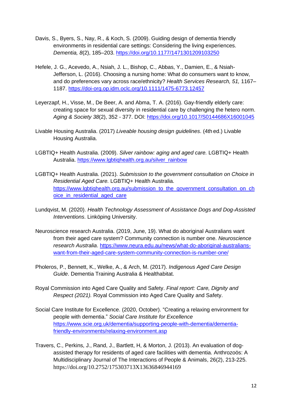- Davis, S., Byers, S., Nay, R., & Koch, S. (2009). Guiding design of dementia friendly environments in residential care settings: Considering the living experiences. *Dementia, 8*(2), 185–203.<https://doi.org/10.1177/1471301209103250>
- Hefele, J. G., Acevedo, A., Nsiah, J. L., Bishop, C., Abbas, Y., Damien, E., & Nsiah-Jefferson, L. (2016). Choosing a nursing home: What do consumers want to know, and do preferences vary across race/ethnicity? *Health Services Research, 51,* 1167– 1187.<https://doi-org.op.idm.oclc.org/10.1111/1475-6773.12457>
- Leyerzapf, H., Visse, M., De Beer, A. and Abma, T. A. (2016). Gay-friendly elderly care: creating space for sexual diversity in residential care by challenging the hetero norm. *Aging & Society 38*(2), 352 - 377. DOI: <https://doi.org/10.1017/S0144686X16001045>
- Livable Housing Australia. (2017) *Liveable housing design guidelines*. (4th ed.) Livable Housing Australia.
- LGBTIQ+ Health Australia. (2009). *Silver rainbow: aging and aged care.* LGBTIQ+ Health Australia. [https://www.lgbtiqhealth.org.au/silver\\_rainbow](https://www.lgbtiqhealth.org.au/silver_rainbow)
- LGBTIQ+ Health Australia. (2021). *Submission to the government consultation on Choice in Residential Aged Care.* LGBTIQ+ Health Australia. https://www.lgbtighealth.org.au/submission\_to\_the\_government\_consultation\_on\_ch oice in residential aged care
- Lundqvist, M. (2020). *Health Technology Assessment of Assistance Dogs and Dog-Assisted Interventions*. Linköping University.
- Neuroscience research Australia. (2019, June, 19). What do aboriginal Australians want from their aged care system? Community connection is number one. *Neuroscience research Australia*. [https://www.neura.edu.au/news/what-do-aboriginal-australians](https://www.neura.edu.au/news/what-do-aboriginal-australians-want-from-their-aged-care-system-community-connection-is-number-one/)[want-from-their-aged-care-system-community-connection-is-number-one/](https://www.neura.edu.au/news/what-do-aboriginal-australians-want-from-their-aged-care-system-community-connection-is-number-one/)
- Pholeros, P., Bennett, K., Welke, A., & Arch, M. (2017). *Indigenous Aged Care Design Guide*. Dementia Training Australia & Healthabitat.
- Royal Commission into Aged Care Quality and Safety. *Final report: Care, Dignity and Respect (2021).* Royal Commission into Aged Care Quality and Safety.
- Social Care Institute for Excellence. (2020, October). "Creating a relaxing environment for people with dementia." *Social Care Institute for Excellence* [https://www.scie.org.uk/dementia/supporting-people-with-dementia/dementia](https://www.scie.org.uk/dementia/supporting-people-with-dementia/dementia-friendly-environments/relaxing-environment.asp)[friendly-environments/relaxing-environment.asp](https://www.scie.org.uk/dementia/supporting-people-with-dementia/dementia-friendly-environments/relaxing-environment.asp)
- Travers, C., Perkins, J., Rand, J., Bartlett, H, & Morton, J. (2013). An evaluation of dogassisted therapy for residents of aged care facilities with dementia. Anthrozoös: A Multidisciplinary Journal of The Interactions of People & Animals, 26(2), 213-225. <https://doi.org/10.2752/175303713X13636846944169>